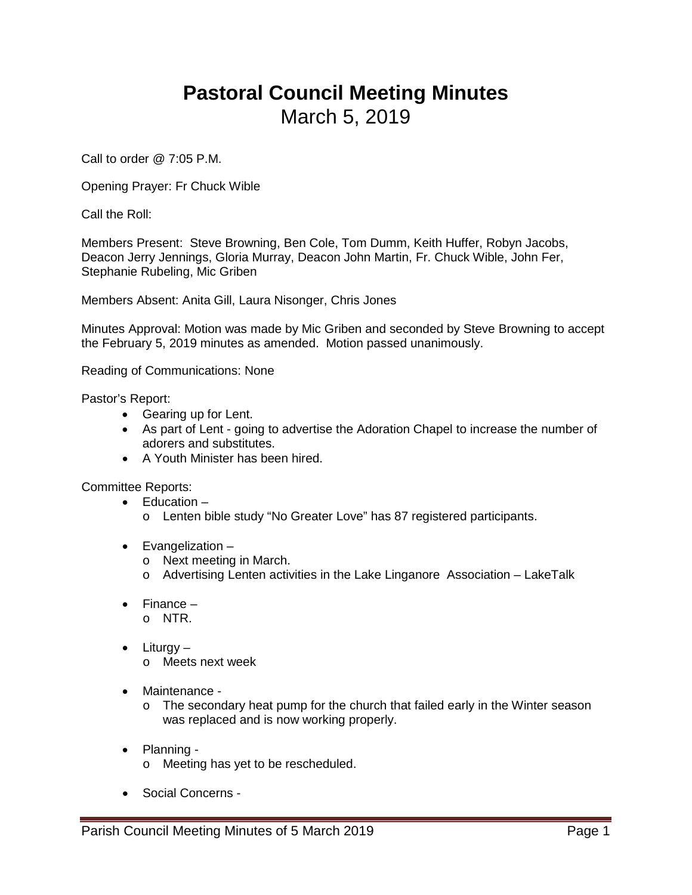## **Pastoral Council Meeting Minutes** March 5, 2019

Call to order @ 7:05 P.M.

Opening Prayer: Fr Chuck Wible

Call the Roll:

Members Present: Steve Browning, Ben Cole, Tom Dumm, Keith Huffer, Robyn Jacobs, Deacon Jerry Jennings, Gloria Murray, Deacon John Martin, Fr. Chuck Wible, John Fer, Stephanie Rubeling, Mic Griben

Members Absent: Anita Gill, Laura Nisonger, Chris Jones

Minutes Approval: Motion was made by Mic Griben and seconded by Steve Browning to accept the February 5, 2019 minutes as amended. Motion passed unanimously.

Reading of Communications: None

Pastor's Report:

- Gearing up for Lent.
- As part of Lent going to advertise the Adoration Chapel to increase the number of adorers and substitutes.
- A Youth Minister has been hired.

Committee Reports:

- Education
	- o Lenten bible study "No Greater Love" has 87 registered participants.
- Evangelization
	- o Next meeting in March.
	- o Advertising Lenten activities in the Lake Linganore Association LakeTalk
- Finance o NTR.
	-
- Liturgy
	- o Meets next week
- Maintenance
	- $\circ$  The secondary heat pump for the church that failed early in the Winter season was replaced and is now working properly.
- Planning
	- o Meeting has yet to be rescheduled.
- Social Concerns -